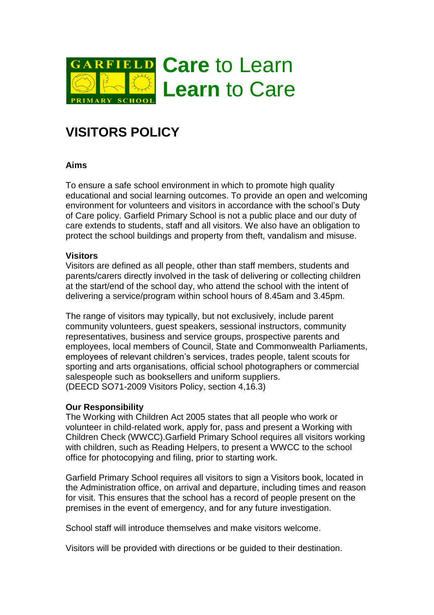

## **VISITORS POLICY**

## **Aims**

To ensure a safe school environment in which to promote high quality educational and social learning outcomes. To provide an open and welcoming environment for volunteers and visitors in accordance with the school's Duty of Care policy. Garfield Primary School is not a public place and our duty of care extends to students, staff and all visitors. We also have an obligation to protect the school buildings and property from theft, vandalism and misuse.

## **Visitors**

Visitors are defined as all people, other than staff members, students and parents/carers directly involved in the task of delivering or collecting children at the start/end of the school day, who attend the school with the intent of delivering a service/program within school hours of 8.45am and 3.45pm.

The range of visitors may typically, but not exclusively, include parent community volunteers, guest speakers, sessional instructors, community representatives, business and service groups, prospective parents and employees, local members of Council, State and Commonwealth Parliaments, employees of relevant children's services, trades people, talent scouts for sporting and arts organisations, official school photographers or commercial salespeople such as booksellers and uniform suppliers. (DEECD SO71-2009 Visitors Policy, section 4,16.3)

## **Our Responsibility**

The Working with Children Act 2005 states that all people who work or volunteer in child-related work, apply for, pass and present a Working with Children Check (WWCC).Garfield Primary School requires all visitors working with children, such as Reading Helpers, to present a WWCC to the school office for photocopying and filing, prior to starting work.

Garfield Primary School requires all visitors to sign a Visitors book, located in the Administration office, on arrival and departure, including times and reason for visit. This ensures that the school has a record of people present on the premises in the event of emergency, and for any future investigation.

School staff will introduce themselves and make visitors welcome.

Visitors will be provided with directions or be guided to their destination.